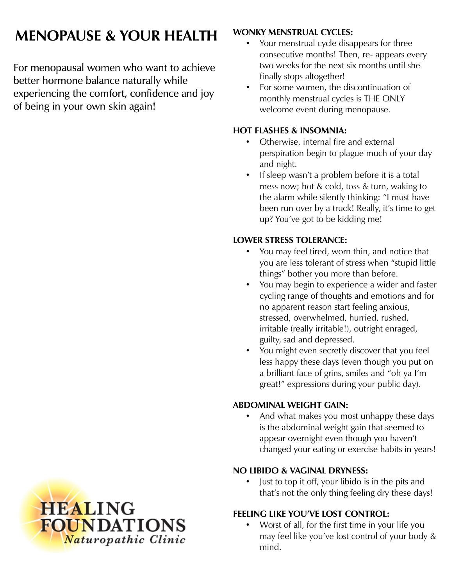# **MENOPAUSE & YOUR HEALTH**

For menopausal women who want to achieve better hormone balance naturally while experiencing the comfort, confidence and joy of being in your own skin again!

## **WONKY MENSTRUAL CYCLES:**

- Your menstrual cycle disappears for three consecutive months! Then, re- appears every two weeks for the next six months until she finally stops altogether!
- For some women, the discontinuation of monthly menstrual cycles is THE ONLY welcome event during menopause.

## **HOT FLASHES & INSOMNIA:**

- Otherwise, internal fire and external perspiration begin to plague much of your day and night.
- If sleep wasn't a problem before it is a total mess now; hot & cold, toss & turn, waking to the alarm while silently thinking: "I must have been run over by a truck! Really, it's time to get up? You've got to be kidding me!

# **LOWER STRESS TOLERANCE:**

- You may feel tired, worn thin, and notice that you are less tolerant of stress when "stupid little things" bother you more than before.
- You may begin to experience a wider and faster cycling range of thoughts and emotions and for no apparent reason start feeling anxious, stressed, overwhelmed, hurried, rushed, irritable (really irritable!), outright enraged, guilty, sad and depressed.
- You might even secretly discover that you feel less happy these days (even though you put on a brilliant face of grins, smiles and "oh ya I'm great!" expressions during your public day).

# **ABDOMINAL WEIGHT GAIN:**

• And what makes you most unhappy these days is the abdominal weight gain that seemed to appear overnight even though you haven't changed your eating or exercise habits in years!

## **NO LIBIDO & VAGINAL DRYNESS:**

Just to top it off, your libido is in the pits and that's not the only thing feeling dry these days!

# **FEELING LIKE YOU'VE LOST CONTROL:**

• Worst of all, for the first time in your life you may feel like you've lost control of your body & mind.

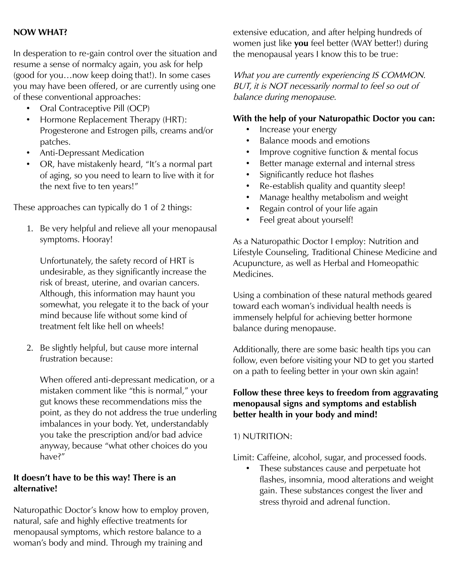#### **NOW WHAT?**

In desperation to re-gain control over the situation and resume a sense of normalcy again, you ask for help (good for you…now keep doing that!). In some cases you may have been offered, or are currently using one of these conventional approaches:

- Oral Contraceptive Pill (OCP)
- Hormone Replacement Therapy (HRT): Progesterone and Estrogen pills, creams and/or patches.
- Anti-Depressant Medication
- OR, have mistakenly heard, "It's a normal part of aging, so you need to learn to live with it for the next five to ten years!"

These approaches can typically do 1 of 2 things:

1. Be very helpful and relieve all your menopausal symptoms. Hooray!

Unfortunately, the safety record of HRT is undesirable, as they significantly increase the risk of breast, uterine, and ovarian cancers. Although, this information may haunt you somewhat, you relegate it to the back of your mind because life without some kind of treatment felt like hell on wheels!

2. Be slightly helpful, but cause more internal frustration because:

When offered anti-depressant medication, or a mistaken comment like "this is normal," your gut knows these recommendations miss the point, as they do not address the true underling imbalances in your body. Yet, understandably you take the prescription and/or bad advice anyway, because "what other choices do you have?"

## **It doesn't have to be this way! There is an alternative!**

Naturopathic Doctor's know how to employ proven, natural, safe and highly effective treatments for menopausal symptoms, which restore balance to a woman's body and mind. Through my training and

extensive education, and after helping hundreds of women just like **you** feel better (WAY better!) during the menopausal years I know this to be true:

What you are currently experiencing IS COMMON. BUT, it is NOT necessarily normal to feel so out of balance during menopause.

## **With the help of your Naturopathic Doctor you can:**

- Increase your energy
- Balance moods and emotions
- Improve cognitive function & mental focus
- Better manage external and internal stress
- Significantly reduce hot flashes
- Re-establish quality and quantity sleep!
- Manage healthy metabolism and weight
- Regain control of your life again
- Feel great about yourself!

As a Naturopathic Doctor I employ: Nutrition and Lifestyle Counseling, Traditional Chinese Medicine and Acupuncture, as well as Herbal and Homeopathic Medicines.

Using a combination of these natural methods geared toward each woman's individual health needs is immensely helpful for achieving better hormone balance during menopause.

Additionally, there are some basic health tips you can follow, even before visiting your ND to get you started on a path to feeling better in your own skin again!

#### **Follow these three keys to freedom from aggravating menopausal signs and symptoms and establish better health in your body and mind!**

#### 1) NUTRITION:

Limit: Caffeine, alcohol, sugar, and processed foods.

These substances cause and perpetuate hot flashes, insomnia, mood alterations and weight gain. These substances congest the liver and stress thyroid and adrenal function.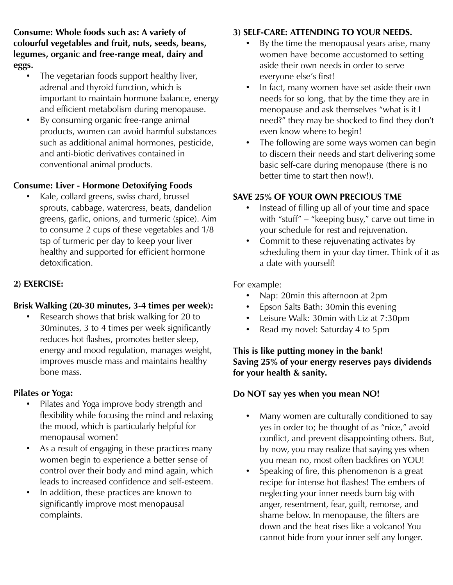**Consume: Whole foods such as: A variety of colourful vegetables and fruit, nuts, seeds, beans, legumes, organic and free-range meat, dairy and eggs.** 

- The vegetarian foods support healthy liver, adrenal and thyroid function, which is important to maintain hormone balance, energy and efficient metabolism during menopause.
- By consuming organic free-range animal products, women can avoid harmful substances such as additional animal hormones, pesticide, and anti-biotic derivatives contained in conventional animal products.

## **Consume: Liver - Hormone Detoxifying Foods**

• Kale, collard greens, swiss chard, brussel sprouts, cabbage, watercress, beats, dandelion greens, garlic, onions, and turmeric (spice). Aim to consume 2 cups of these vegetables and 1/8 tsp of turmeric per day to keep your liver healthy and supported for efficient hormone detoxification.

#### **2) EXERCISE:**

#### **Brisk Walking (20-30 minutes, 3-4 times per week):**

• Research shows that brisk walking for 20 to 30minutes, 3 to 4 times per week significantly reduces hot flashes, promotes better sleep, energy and mood regulation, manages weight, improves muscle mass and maintains healthy bone mass.

#### **Pilates or Yoga:**

- Pilates and Yoga improve body strength and flexibility while focusing the mind and relaxing the mood, which is particularly helpful for menopausal women!
- As a result of engaging in these practices many women begin to experience a better sense of control over their body and mind again, which leads to increased confidence and self-esteem.
- In addition, these practices are known to significantly improve most menopausal complaints.

#### **3) SELF-CARE: ATTENDING TO YOUR NEEDS.**

- By the time the menopausal years arise, many women have become accustomed to setting aside their own needs in order to serve everyone else's first!
- In fact, many women have set aside their own needs for so long, that by the time they are in menopause and ask themselves "what is it I need?" they may be shocked to find they don't even know where to begin!
- The following are some ways women can begin to discern their needs and start delivering some basic self-care during menopause (there is no better time to start then now!).

#### **SAVE 25% OF YOUR OWN PRECIOUS TME**

- Instead of filling up all of your time and space with "stuff" – "keeping busy," carve out time in your schedule for rest and rejuvenation.
- Commit to these rejuvenating activates by scheduling them in your day timer. Think of it as a date with yourself!

For example:

- Nap: 20min this afternoon at 2pm
- Epson Salts Bath: 30min this evening
- Leisure Walk: 30min with Liz at 7:30pm
- Read my novel: Saturday 4 to 5pm

#### **This is like putting money in the bank! Saving 25% of your energy reserves pays dividends for your health & sanity.**

#### **Do NOT say yes when you mean NO!**

- Many women are culturally conditioned to say yes in order to; be thought of as "nice," avoid conflict, and prevent disappointing others. But, by now, you may realize that saying yes when you mean no, most often backfires on YOU!
- Speaking of fire, this phenomenon is a great recipe for intense hot flashes! The embers of neglecting your inner needs burn big with anger, resentment, fear, guilt, remorse, and shame below. In menopause, the filters are down and the heat rises like a volcano! You cannot hide from your inner self any longer.